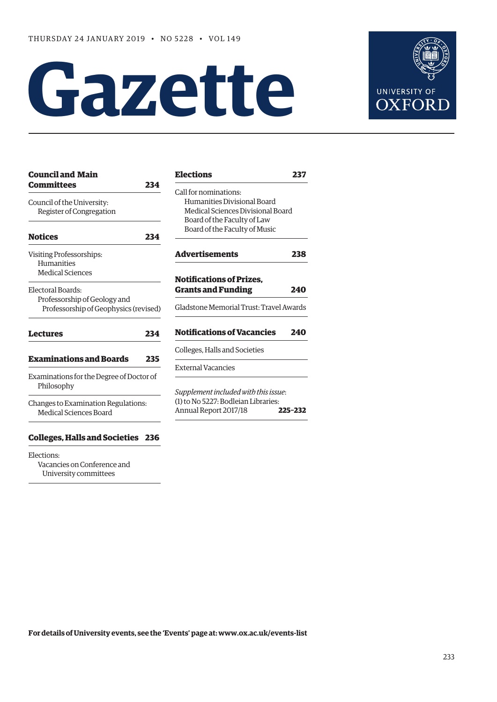# **Gazette**



| 237                                            |
|------------------------------------------------|
| Medical Sciences Divisional Board              |
|                                                |
| 238                                            |
| 240<br>Gladstone Memorial Trust: Travel Awards |
| 240                                            |
|                                                |
| Supplement included with this issue:           |
| 225-232                                        |
|                                                |

#### **[Colleges, Halls and Societies 236](#page-3-0)**

Elections: Vacancies on Conference and University committees

| Humanities Divisional Board<br>Medical Sciences Divisional Board<br>Board of the Faculty of Law<br>Board of the Faculty of Music |         |  |  |  |
|----------------------------------------------------------------------------------------------------------------------------------|---------|--|--|--|
| <b>Advertisements</b>                                                                                                            | 238     |  |  |  |
| <b>Notifications of Prizes.</b><br><b>Grants and Funding</b>                                                                     | 240     |  |  |  |
| Gladstone Memorial Trust: Travel Awards                                                                                          |         |  |  |  |
| <b>Notifications of Vacancies</b>                                                                                                | 240     |  |  |  |
| Colleges, Halls and Societies                                                                                                    |         |  |  |  |
| <b>External Vacancies</b>                                                                                                        |         |  |  |  |
| Supplement included with this issue:<br>(1) to No 5227: Bodleian Libraries:<br>Annual Report 2017/18                             | 225-232 |  |  |  |

**For details of University events, see the 'Events' page at: [www.ox.ac.uk/events-list](http://www.ox.ac.uk/events-list)**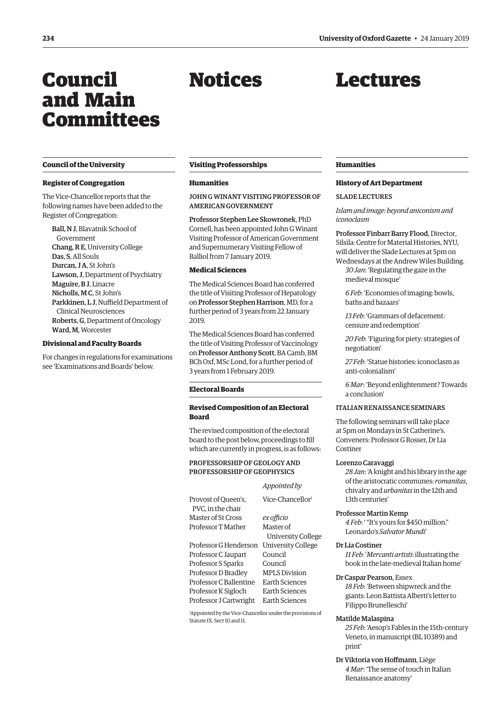## <span id="page-1-0"></span>Council and Main Committees

## Notices

## Lectures

#### **Council of the University**

#### **Register of Congregation**

The Vice-Chancellor reports that the following names have been added to the Register of Congregation:

Ball, N J, Blavatnik School of Government Chang, R E, University College Das, S, All Souls Durcan, J A, St John's Lawson, J, Department of Psychiatry Maguire, B J, Linacre Nicholls, M C, St John's Parkkinen, L J, Nuffield Department of Clinical Neurosciences Roberts, G, Department of Oncology Ward, M, Worcester

#### **Divisional and Faculty Boards**

For changes in regulations for examinations see '[Examinations and Boards'](#page-3-0) below.

#### **Visiting Professorships**

#### **Humanities**

JOHN G WINANT VISITING PROFESSOR OF AMERICAN GOVERNMENT

Professor Stephen Lee Skowronek, PhD Cornell, has been appointed John G Winant Visiting Professor of American Government and Supernumerary Visiting Fellow of Balliol from 7 January 2019.

#### **Medical Sciences**

The Medical Sciences Board has conferred the title of Visiting Professor of Hepatology on Professor Stephen Harrison, MD, for a further period of 3 years from 22 January 2019.

The Medical Sciences Board has conferred the title of Visiting Professor of Vaccinology on Professor Anthony Scott, BA Camb, BM BCh Oxf, MSc Lond, for a further period of 3 years from 1 February 2019.

#### **Electoral Boards**

#### **Revised Composition of an Electoral Board**

The revised composition of the electoral board to the post below, proceedings to fill which are currently in progress, is as follows:

#### PROFESSORSHIP OF GEOLOGY AND PROFESSORSHIP OF GEOPHYSICS

|                                          | Appointed by                 |
|------------------------------------------|------------------------------|
| Provost of Oueen's.<br>PVC. in the chair | Vice-Chancellor <sup>1</sup> |
| Master of St Cross                       | ex officio                   |
| Professor T Mather                       | Master of                    |
|                                          | <b>University College</b>    |
| Professor G Henderson                    | <b>University College</b>    |
| Professor C Jaupart                      | Council                      |
| Professor S Sparks                       | Council                      |
| Professor D Bradley                      | <b>MPLS Division</b>         |
| Professor C Ballentine                   | Earth Sciences               |
| Professor K Sigloch                      | Earth Sciences               |
| Professor J Cartwright                   | Earth Sciences               |
|                                          |                              |

1 Appointed by the Vice-Chancellor under the provisions of Statute IX, Sect 10 and 11.

#### **Humanities**

#### **History of Art Department**

#### **SLADE LECTURES**

*Islam and image: beyond aniconism and iconoclasm*

Professor Finbarr Barry Flood, Director, Silsila: Centre for Material Histories, NYU, will deliver the Slade Lectures at 5pm on Wednesdays at the Andrew Wiles Building.

- *30 Jan*: 'Regulating the gaze in the medieval mosque'
- *6 Feb*: 'Economies of imaging: bowls, baths and bazaars'

*13 Feb*: 'Grammars of defacement: censure and redemption'

*20 Feb*: 'Figuring for piety: strategies of negotiation'

*27 Feb*: 'Statue histories: iconoclasm as anti-colonialism'

*6 Mar*: 'Beyond enlightenment? Towards a conclusion'

#### ITALIAN RENAISSANCE SEMINARS

The following seminars will take place at 5pm on Mondays in St Catherine's. Conveners: Professor G Rosser, Dr Lia Costiner

#### Lorenzo Caravaggi

*28 Jan*: 'A knight and his library in the age of the aristocratic communes: *romanitas*, chivalry and *urbanitas* in the 12th and 13th centuries'

#### Professor Martin Kemp

*4 Feb*: ' "It's yours for \$450 million." Leonardo's *Salvator Mundi*'

#### Dr Lia Costiner

*11 Feb*: '*Mercanti artisti*: illustrating the book in the late-medieval Italian home'

#### Dr Caspar Pearson, Essex

*18 Feb*: 'Between shipwreck and the giants: Leon Battista Alberti's letter to Filippo Brunelleschi'

#### Matilde Malaspina

*25 Feb*: 'Aesop's Fables in the 15th-century Veneto, in manuscript (BL 10389) and print'

#### Dr Viktoria von Hoffmann, Liège

*4 Mar*: 'The sense of touch in Italian Renaissance anatomy'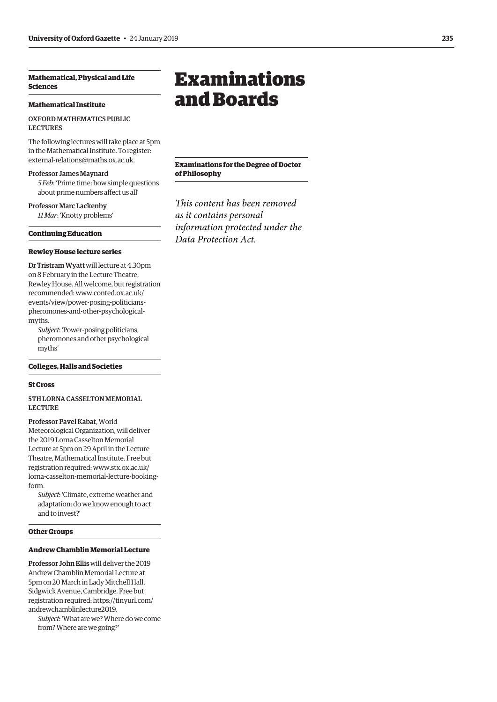#### <span id="page-2-0"></span>**Mathematical, Physical and Life Sciences**

#### **Mathematical Institute**

#### OXFORD MATHEMATICS PUBLIC LECTURES

The following lectures will take place at 5pm in the Mathematical Institute. To register: [external-relations@maths.ox.ac.uk.](mailto:external-relations@maths.ox.ac.uk)

#### Professor James Maynard

*5 Feb*: 'Prime time: how simple questions about prime numbers affect us all'

Professor Marc Lackenby *11 Mar*: 'Knotty problems'

#### **Continuing Education**

#### **Rewley House lecture series**

Dr Tristram Wyatt will lecture at 4.30pm on 8 February in the Lecture Theatre, Rewley House. All welcome, but registration recommended: www.conted.ox.ac.uk/ [events/view/power-posing-politicians](www.conted.ox.ac.uk/events/view/power-posing-politicians-pheromones-and-other-psychological-myths)pheromones-and-other-psychologicalmyths.

*Subject*: 'Power-posing politicians, pheromones and other psychological myths'

#### **Colleges, Halls and Societies**

#### **St Cross**

5TH LORNA CASSELTON MEMORIAL **LECTURE** 

Professor Pavel Kabat, World Meteorological Organization, will deliver the 2019 Lorna Casselton Memorial Lecture at 5pm on 29 April in the Lecture Theatre, Mathematical Institute. Free but registration required: www.stx.ox.ac.uk/ [lorna-casselton-memorial-lecture-booking](www.stx.ox.ac.uk/lorna-casselton-memorial-lecture-booking-form)form.

*Subject*: 'Climate, extreme weather and adaptation: do we know enough to act and to invest?'

#### **Other Groups**

#### **Andrew Chamblin Memorial Lecture**

Professor John Ellis will deliver the 2019 Andrew Chamblin Memorial Lecture at 5pm on 20 March in Lady Mitchell Hall, Sidgwick Avenue, Cambridge. Free but [registration required: https://tinyurl.com/](https://tinyurl.com/andrewchamblinlecture2019) andrewchamblinlecture2019.

*Subject*: 'What are we? Where do we come from? Where are we going?'

## Examinations and Boards

**Examinations for the Degree of Doctor of Philosophy**

*This content has been removed as it contains personal information protected under the Data Protection Act.*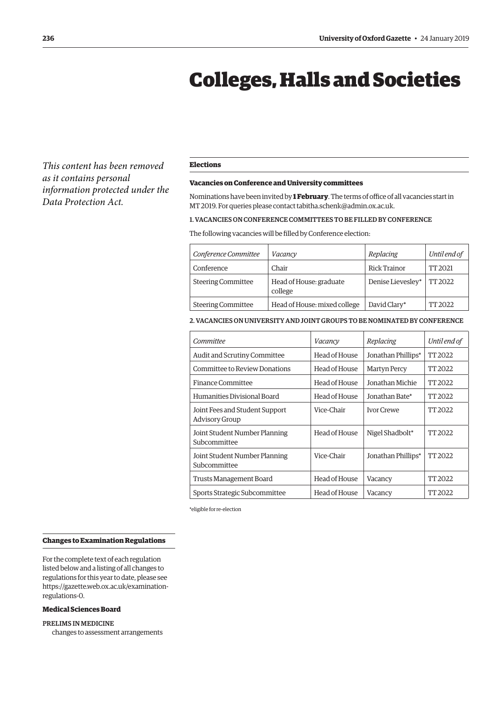## Colleges, Halls and Societies

<span id="page-3-0"></span>*This content has been removed as it contains personal information protected under the Data Protection Act.*

#### **Elections**

#### **Vacancies on Conference and University committees**

Nominations have been invited by **1 February**. The terms of office of all vacancies start in MT 2019. For queries please contact [tabitha.schenk@admin.ox.ac.uk.](mailto:tabitha.schenk@admin.ox.ac.uk)

#### 1. VACANCIES ON CONFERENCE COMMITTEES TO BE FILLED BY CONFERENCE

The following vacancies will be filled by Conference election:

| Conference Committee      | Vacancy                            | Replacing         | Until end of |
|---------------------------|------------------------------------|-------------------|--------------|
| Conference                | Chair                              | Rick Trainor      | TT 2021      |
| <b>Steering Committee</b> | Head of House: graduate<br>college | Denise Lievesley* | TT 2022      |
| <b>Steering Committee</b> | Head of House: mixed college       | David Clary*      | TT 2022      |

#### 2. VACANCIES ON UNIVERSITY AND JOINT GROUPS TO BE NOMINATED BY CONFERENCE

| Committee                                        | Vacancy       | Replacing           | Until end of |
|--------------------------------------------------|---------------|---------------------|--------------|
| Audit and Scrutiny Committee                     | Head of House | Jonathan Phillips*  | TT 2022      |
| Committee to Review Donations                    | Head of House | <b>Martyn Percy</b> | TT 2022      |
| Finance Committee                                | Head of House | Jonathan Michie     | TT 2022      |
| Humanities Divisional Board                      | Head of House | Jonathan Bate*      | TT 2022      |
| Joint Fees and Student Support<br>Advisory Group | Vice-Chair    | <b>Ivor Crewe</b>   | TT 2022      |
| Joint Student Number Planning<br>Subcommittee    | Head of House | Nigel Shadbolt*     | TT 2022      |
| Joint Student Number Planning<br>Subcommittee    | Vice-Chair    | Jonathan Phillips*  | TT 2022      |
| Trusts Management Board                          | Head of House | Vacancy             | TT 2022      |
| Sports Strategic Subcommittee                    | Head of House | Vacancy             | TT 2022      |

\*eligible for re-election

#### **Changes to Examination Regulations**

For the complete text of each regulation listed below and a listing of all changes to regulations for this year to date, please see [https://gazette.web.ox.ac.uk/examination](https://gazette.web.ox.ac.uk/examination-regulations-0)regulations-0.

### **Medical Sciences Board**

#### PRELIMS IN MEDICINE

changes to assessment arrangements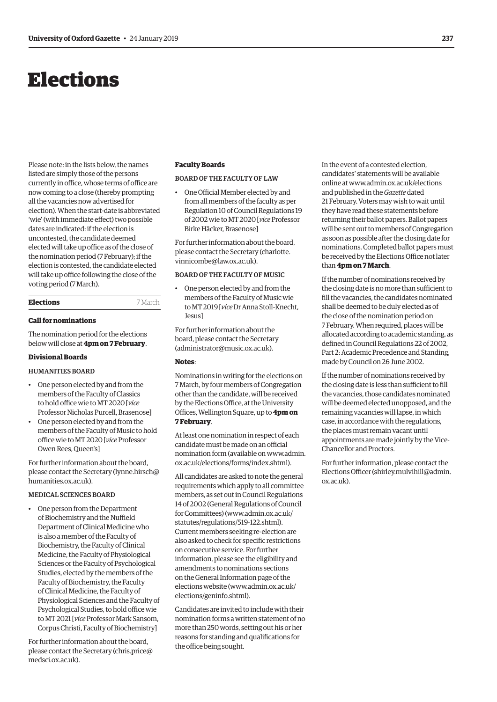## <span id="page-4-0"></span>Elections

Please note: in the lists below, the names listed are simply those of the persons currently in office, whose terms of office are now coming to a close (thereby prompting all the vacancies now advertised for election). When the start-date is abbreviated 'wie' (with immediate effect) two possible dates are indicated: if the election is uncontested, the candidate deemed elected will take up office as of the close of the nomination period (7 February); if the election is contested, the candidate elected will take up office following the close of the voting period (7 March).

#### **Elections** 7 March

#### **Call for nominations**

The nomination period for the elections below will close at **4pm on 7 February**.

#### **Divisional Boards**

#### HUMANITIES BOARD

- One person elected by and from the members of the Faculty of Classics to hold office wie to MT 2020 [*vice* Professor Nicholas Purcell, Brasenose]
- One person elected by and from the members of the Faculty of Music to hold office wie to MT 2020 [*vice* Professor Owen Rees, Queen's]

For further information about the board, please contact the Secretary [\(lynne.hirsch@](mailto:lynne.hirsch@humanities.ox.ac.uk) [humanities.ox.ac.uk\).](mailto:lynne.hirsch@humanities.ox.ac.uk)

#### MEDICAL SCIENCES BOARD

• One person from the Department of Biochemistry and the Nuffield Department of Clinical Medicine who is also a member of the Faculty of Biochemistry, the Faculty of Clinical Medicine, the Faculty of Physiological Sciences or the Faculty of Psychological Studies, elected by the members of the Faculty of Biochemistry, the Faculty of Clinical Medicine, the Faculty of Physiological Sciences and the Faculty of Psychological Studies, to hold office wie to MT 2021 [*vice* Professor Mark Sansom, Corpus Christi, Faculty of Biochemistry]

For further information about the board, please contact the Secretary [\(chris.price@](mailto:chris.price@medsci.ox.ac.uk) [medsci.ox.ac.uk\).](mailto:chris.price@medsci.ox.ac.uk)

#### **Faculty Boards**

#### BOARD OF THE FACULTY OF LAW

• One Official Member elected by and from all members of the faculty as per Regulation 10 of Council Regulations 19 of 2002 wie to MT 2020 [*vice* Professor Birke Häcker, Brasenose]

For further information about the board, [please contact the Secretary \(charlotte.](mailto:charlotte.vinnicombe@law.ox.ac.uk) vinnicombe@law.ox.ac.uk).

#### BOARD OF THE FACULTY OF MUSIC

• One person elected by and from the members of the Faculty of Music wie to MT 2019 [*vice* Dr Anna Stoll-Knecht, Jesus]

For further information about the board, please contact the Secretary [\(administrator@music.ox.ac.uk\).](mailto:administrator@music.ox.ac.uk)

#### **Notes**:

Nominations in writing for the elections on 7 March, by four members of Congregation other than the candidate, will be received by the Elections Office, at the University Offices, Wellington Square, up to **4pm on 7 February**.

At least one nomination in respect of each candidate must be made on an official [nomination form \(available on www.admin.](www.admin.ox.ac.uk/elections/forms/index.shtml) ox.ac.uk/elections/forms/index.shtml).

All candidates are asked to note the general requirements which apply to all committee members, as set out in Council Regulations 14 of 2002 (General Regulations of Council for Committees) [\(www.admin.ox.ac.uk/](http://www.admin.ox.ac.uk/statutes/regulations/519-122.shtml) [statutes/regulations/519-122.shtml\).](http://www.admin.ox.ac.uk/statutes/regulations/519-122.shtml)  Current members seeking re-election are also asked to check for specific restrictions on consecutive service. For further information, please see the eligibility and amendments to nominations sections on the General Information page of the elections website ([www.admin.ox.ac.uk/](http://www.admin.ox.ac.uk/elections/geninfo.shtml) [elections/geninfo.shtml\).](http://www.admin.ox.ac.uk/elections/geninfo.shtml)

Candidates are invited to include with their nomination forms a written statement of no more than 250 words, setting out his or her reasons for standing and qualifications for the office being sought.

In the event of a contested election, candidates' statements will be available online at [www.admin.ox.ac.uk/elections](http://www.admin.ox.ac.uk/elections)  and published in the *Gazette* dated 21 February. Voters may wish to wait until they have read these statements before returning their ballot papers. Ballot papers will be sent out to members of Congregation as soon as possible after the closing date for nominations. Completed ballot papers must be received by the Elections Office not later than **4pm on 7 March**.

If the number of nominations received by the closing date is no more than sufficient to fill the vacancies, the candidates nominated shall be deemed to be duly elected as of the close of the nomination period on 7 February. When required, places will be allocated according to academic standing, as defined in Council Regulations 22 of 2002, Part 2: Academic Precedence and Standing, made by Council on 26 June 2002.

If the number of nominations received by the closing date is less than sufficient to fill the vacancies, those candidates nominated will be deemed elected unopposed, and the remaining vacancies will lapse, in which case, in accordance with the regulations, the places must remain vacant until appointments are made jointly by the Vice-Chancellor and Proctors.

For further information, please contact the Elections Officer [\(shirley.mulvihill@admin.](mailto:shirley.mulvihill@admin.ox.ac.uk) [ox.ac.uk\).](mailto:shirley.mulvihill@admin.ox.ac.uk)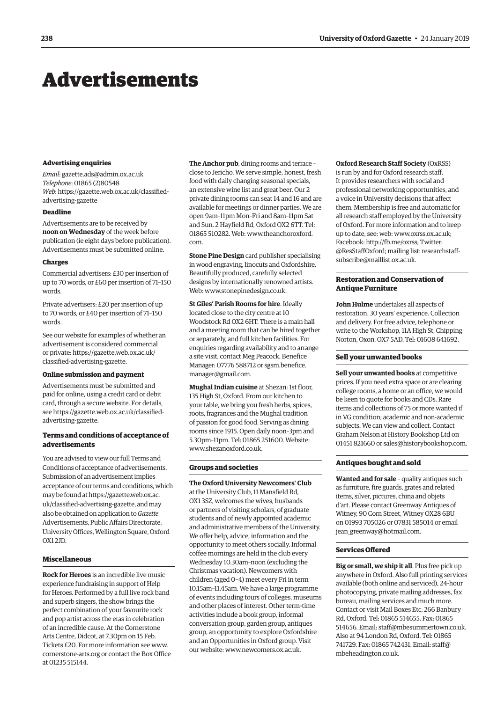## <span id="page-5-0"></span>Advertisements

#### **Advertising enquiries**

*Email*: [gazette.ads@admin.ox.ac.uk](mailto:gazette.ads@admin.ox.ac.uk) *Telephone*: 01865 (2)80548 *Web*[: https://gazette.web.ox.ac.uk/classified](https://gazette.web.ox.ac.uk/classified-advertising-gazette)advertising-gazette

#### **Deadline**

Advertisements are to be received by **noon on Wednesday** of the week before publication (ie eight days before publication). Advertisements must be submitted online.

#### **Charges**

Commercial advertisers: £30 per insertion of up to 70 words, or £60 per insertion of 71–150 words.

Private advertisers: £20 per insertion of up to 70 words, or £40 per insertion of 71–150 words.

See our website for examples of whether an advertisement is considered commercial [or private: https://gazette.web.ox.ac.uk/](https://gazette.web.ox.ac.uk/classified-advertising-gazette) classified-advertising-gazette.

#### **Online submission and payment**

Advertisements must be submitted and paid for online, using a credit card or debit card, through a secure website. For details, [see https://gazette.web.ox.ac.uk/classified](https://gazette.web.ox.ac.uk/classified-advertising-gazette)advertising-gazette.

#### **Terms and conditions of acceptance of advertisements**

You are advised to view our full Terms and Conditions of acceptance of advertisements. Submission of an advertisement implies acceptance of our terms and conditions, which may be found at https://gazette.web.ox.ac. [uk/classified-advertising-gazette, and may](https://gazette.web.ox.ac.uk/classified-advertising-gazette)  also be obtained on application to *Gazette* Advertisements, Public Affairs Directorate, University Offices, Wellington Square, Oxford OX1 2JD.

#### **Miscellaneous**

**Rock for Heroes** is an incredible live music experience fundraising in support of Help for Heroes. Performed by a full live rock band and superb singers, the show brings the perfect combination of your favourite rock and pop artist across the eras in celebration of an incredible cause. At the Cornerstone Arts Centre, Didcot, at 7.30pm on 15 Feb. Tickets £20. For more information see [www.](http://www.cornerstone-arts.org) [cornerstone-arts.org or](http://www.cornerstone-arts.org) contact the Box Office at 01235 515144.

**The Anchor pub**, dining rooms and terrace – close to Jericho. We serve simple, honest, fresh food with daily changing seasonal specials, an extensive wine list and great beer. Our 2 private dining rooms can seat 14 and 16 and are available for meetings or dinner parties. We are open 9am–11pm Mon–Fri and 8am–11pm Sat and Sun. 2 Hayfield Rd, Oxford OX2 6TT. Tel: [01865 510282. Web: www.theanchoroxford.](www.theanchoroxford.com) com.

**Stone Pine Design** card publisher specialising in wood engraving, linocuts and Oxfordshire. Beautifully produced, carefully selected designs by internationally renowned artists. Web: [www.stonepinedesign.co.uk.](http://www.stonepinedesign.co.uk)

**St Giles' Parish Rooms for hire**. Ideally located close to the city centre at 10 Woodstock Rd OX2 6HT. There is a main hall and a meeting room that can be hired together or separately, and full kitchen facilities. For enquiries regarding availability and to arrange a site visit, contact Meg Peacock, Benefice [Manager: 07776 588712 or sgsm.benefice.](mailto:sgsm.benefice.manager@gmail.com) manager@gmail.com.

**Mughal Indian cuisine** at Shezan: 1st floor, 135 High St, Oxford. From our kitchen to your table, we bring you fresh herbs, spices, roots, fragrances and the Mughal tradition of passion for good food. Serving as dining rooms since 1915. Open daily noon–3pm and 5.30pm–11pm. Tel: 01865 251600. Website: [www.shezanoxford.co.uk.](http://www.shezanoxford.co.uk)

#### **Groups and societies**

**The Oxford University Newcomers' Club** at the University Club, 11 Mansfield Rd, OX1 3SZ, welcomes the wives, husbands or partners of visiting scholars, of graduate students and of newly appointed academic and administrative members of the University. We offer help, advice, information and the opportunity to meet others socially. Informal coffee mornings are held in the club every Wednesday 10.30am–noon (excluding the Christmas vacation). Newcomers with children (aged 0–4) meet every Fri in term 10.15am–11.45am. We have a large programme of events including tours of colleges, museums and other places of interest. Other term-time activities include a book group, informal conversation group, garden group, antiques group, an opportunity to explore Oxfordshire and an Opportunities in Oxford group. Visit our website: [www.newcomers.ox.ac.uk.](http://www.newcomers.ox.ac.uk) 

**Oxford Research Staff Society** (OxRSS) is run by and for Oxford research staff. It provides researchers with social and professional networking opportunities, and a voice in University decisions that affect them. Membership is free and automatic for all research staff employed by the University of Oxford. For more information and to keep up to date, see: web: [www.oxrss.ox.ac.uk;](http://www.oxrss.ox.ac.uk)  Facebook: [http://fb.me/oxrss; Tw](http://fb.me/oxrss)itter: [@ResStaffOxford; mailing list: researchstaff](mailto:researchstaff-subscribe@maillist.ox.ac.uk)subscribe@maillist.ox.ac.uk.

#### **Restoration and Conservation of Antique Furniture**

**John Hulme** undertakes all aspects of restoration. 30 years' experience. Collection and delivery. For free advice, telephone or write to the Workshop, 11A High St, Chipping Norton, Oxon, OX7 5AD. Tel: 01608 641692.

#### **Sell your unwanted books**

**Sell your unwanted books** at competitive prices. If you need extra space or are clearing college rooms, a home or an office, we would be keen to quote for books and CDs. Rare items and collections of 75 or more wanted if in VG condition; academic and non-academic subjects. We can view and collect. Contact Graham Nelson at History Bookshop Ltd on 01451 821660 or [sales@historybookshop.com.](mailto:sales@historybookshop.com)

#### **Antiques bought and sold**

**Wanted and for sale** – quality antiques such as furniture, fire guards, grates and related items, silver, pictures, china and objets d'art. Please contact Greenway Antiques of Witney, 90 Corn Street, Witney OX28 6BU on 01993 705026 or 07831 585014 or email [jean\\_greenway@hotmail.com.](mailto:jean_greenway@hotmail.com)

#### **Services Offered**

**Big or small, we ship it all**. Plus free pick up anywhere in Oxford. Also full printing services available (both online and serviced), 24-hour photocopying, private mailing addresses, fax bureau, mailing services and much more. Contact or visit Mail Boxes Etc, 266 Banbury Rd, Oxford. Tel: 01865 514655. Fax: 01865 514656. Email: [staff@mbesummertown.co.uk.](mailto:staff@mbesummertown.co.uk)  Also at 94 London Rd, Oxford. Tel: 01865 [741729. Fax: 01865 742431. Email: staff@](mailto:staff@mbeheadington.co.uk) mbeheadington.co.uk.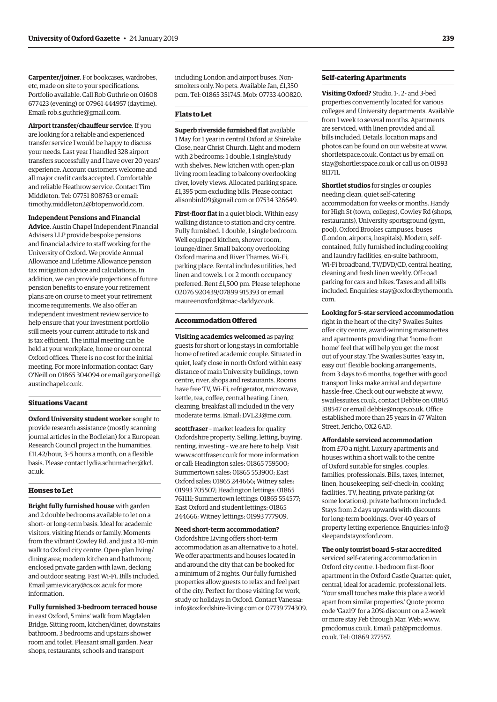**Carpenter/joiner**. For bookcases, wardrobes, etc, made on site to your specifications. Portfolio available. Call Rob Guthrie on 01608 677423 (evening) or 07961 444957 (daytime). Email: [rob.s.guthrie@gmail.com.](mailto:rob.s.guthrie@gmail.com) 

**Airport transfer/chauffeur service**. If you are looking for a reliable and experienced transfer service I would be happy to discuss your needs. Last year I handled 328 airport transfers successfully and I have over 20 years' experience. Account customers welcome and all major credit cards accepted. Comfortable and reliable Heathrow service. Contact Tim Middleton. Tel: 07751 808763 or email: [timothy.middleton2@btopenworld.com.](mailto:timothy.middleton2@btopenworld.com)

**Independent Pensions and Financial Advice**. Austin Chapel Independent Financial Advisers LLP provide bespoke pensions and financial advice to staff working for the University of Oxford. We provide Annual Allowance and Lifetime Allowance pension tax mitigation advice and calculations. In addition, we can provide projections of future pension benefits to ensure your retirement plans are on course to meet your retirement income requirements. We also offer an independent investment review service to help ensure that your investment portfolio still meets your current attitude to risk and is tax efficient. The initial meeting can be held at your workplace, home or our central Oxford offices. There is no cost for the initial meeting. For more information contact Gary [O'Neill on 01865 304094 or email gary.oneill@](mailto:gary.oneill@austinchapel.co.uk) austinchapel.co.uk.

#### **Situations Vacant**

**Oxford University student worker** sought to provide research assistance (mostly scanning journal articles in the Bodleian) for a European Research Council project in the humanities. £11.42/hour, 3–5 hours a month, on a flexible [basis. Please contact lydia.schumacher@kcl.](mailto:lydia.schumacher@kcl.ac.uk) ac.uk.

#### **Houses to Let**

**Bright fully furnished house** with garden and 2 double bedrooms available to let on a short- or long-term basis. Ideal for academic visitors, visiting friends or family. Moments from the vibrant Cowley Rd, and just a 10-min walk to Oxford city centre. Open-plan living/ dining area; modern kitchen and bathroom; enclosed private garden with lawn, decking and outdoor seating. Fast Wi-Fi. Bills included. Email [jamie.vicary@cs.ox.ac.uk fo](mailto:jamie.vicary@cs.ox.ac.uk)r more information.

**Fully furnished 3-bedroom terraced house** in east Oxford, 5 mins' walk from Magdalen Bridge. Sitting room, kitchen/diner, downstairs bathroom. 3 bedrooms and upstairs shower room and toilet. Pleasant small garden. Near shops, restaurants, schools and transport

including London and airport buses. Nonsmokers only. No pets. Available Jan, £1,350 pcm. Tel: 01865 351745. Mob: 07733 400820.

#### **Flats to Let**

**Superb riverside furnished flat** available 1 May for 1 year in central Oxford at Shirelake Close, near Christ Church. Light and modern with 2 bedrooms: 1 double, 1 single/study with shelves. New kitchen with open-plan living room leading to balcony overlooking river, lovely views. Allocated parking space. £1,395 pcm excluding bills. Please contact [alisonbird09@gmail.com or](mailto:alisonbird09@gmail.com) 07534 326649.

**First-floor flat** in a quiet block. Within easy walking distance to station and city centre. Fully furnished. 1 double, 1 single bedroom. Well equipped kitchen, shower room, lounge/diner. Small balcony overlooking Oxford marina and River Thames. Wi-Fi, parking place. Rental includes utilities, bed linen and towels. 1 or 2 month occupancy preferred. Rent £1,500 pm. Please telephone 02076 920439/07899 915393 or email [maureenoxford@mac-daddy.co.uk.](mailto:maureenoxford@mac-daddy.co.uk)

#### **Accommodation Offered**

**Visiting academics welcomed** as paying guests for short or long stays in comfortable home of retired academic couple. Situated in quiet, leafy close in north Oxford within easy distance of main University buildings, town centre, river, shops and restaurants. Rooms have free TV, Wi-Fi, refrigerator, microwave, kettle, tea, coffee, central heating. Linen, cleaning, breakfast all included in the very moderate terms. Email: [DVL23@me.com.](mailto:DVL23@me.com)

**scottfraser** – market leaders for quality Oxfordshire property. Selling, letting, buying, renting, investing – we are here to help. Visit [www.scottfraser.co.uk fo](http://www.scottfraser.co.uk)r more information or call: Headington sales: 01865 759500; Summertown sales: 01865 553900; East Oxford sales: 01865 244666; Witney sales: 01993 705507; Headington lettings: 01865 761111; Summertown lettings: 01865 554577; East Oxford and student lettings: 01865 244666; Witney lettings: 01993 777909.

#### **Need short-term accommodation?**

Oxfordshire Living offers short-term accommodation as an alternative to a hotel. We offer apartments and houses located in and around the city that can be booked for a minimum of 2 nights. Our fully furnished properties allow guests to relax and feel part of the city. Perfect for those visiting for work, study or holidays in Oxford. Contact Vanessa: [info@oxfordshire-living.com or](mailto:info@oxfordshire-living.com) 07739 774309.

#### **Self-catering Apartments**

**Visiting Oxford?** Studio, 1-, 2- and 3-bed properties conveniently located for various colleges and University departments. Available from 1 week to several months. Apartments are serviced, with linen provided and all bills included. Details, location maps and photos can be found on our website at [www.](http://www.shortletspace.co.uk) [shortletspace.co.uk. Co](http://www.shortletspace.co.uk)ntact us by email on [stay@shortletspace.co.uk or](mailto:stay@shortletspace.co.uk) call us on 01993 811711.

**Shortlet studios** for singles or couples needing clean, quiet self-catering accommodation for weeks or months. Handy for High St (town, colleges), Cowley Rd (shops, restaurants), University sportsground (gym, pool), Oxford Brookes campuses, buses (London, airports, hospitals). Modern, selfcontained, fully furnished including cooking and laundry facilities, en-suite bathroom, Wi-Fi broadband, TV/DVD/CD, central heating, cleaning and fresh linen weekly. Off-road parking for cars and bikes. Taxes and all bills [included. Enquiries: stay@oxfordbythemonth.](mailto:stay@oxfordbythemonth.com) com.

**Looking for 5-star serviced accommodation** right in the heart of the city? Swailes Suites offer city centre, award-winning maisonettes and apartments providing that 'home from home' feel that will help you get the most

out of your stay. The Swailes Suites 'easy in, easy out' flexible booking arrangements, from 3 days to 6 months, together with good transport links make arrival and departure hassle-free. Check out our website at [www.](http://www.swailessuites.co.uk) [swailessuites.co.uk, co](http://www.swailessuites.co.uk)ntact Debbie on 01865 318547 or email [debbie@nops.co.uk. Of](mailto:debbie@nops.co.uk)fice established more than 25 years in 47 Walton Street, Jericho, OX2 6AD.

#### **Affordable serviced accommodation**

from £70 a night. Luxury apartments and houses within a short walk to the centre of Oxford suitable for singles, couples, families, professionals. Bills, taxes, internet, linen, housekeeping, self-check-in, cooking facilities, TV, heating, private parking (at some locations), private bathroom included. Stays from 2 days upwards with discounts for long-term bookings. Over 40 years of [property letting experience. Enquiries: info@](mailto:info@sleepandstayoxford.com) sleepandstayoxford.com.

#### **The only tourist board 5-star accredited**

serviced self-catering accommodation in Oxford city centre. 1-bedroom first-floor apartment in the Oxford Castle Quarter: quiet, central, ideal for academic, professional lets. 'Your small touches make this place a world apart from similar properties.' Quote promo code 'Gaz19' for a 20% discount on a 2-week or more stay Feb through Mar. Web: [www.](http://www.pmcdomus.co.uk) [pmcdomus.co.uk. Em](http://www.pmcdomus.co.uk)[ail: pat@pmcdomus.](mailto:pat@pmcdomus.co.uk) co.uk. Tel: 01869 277557.